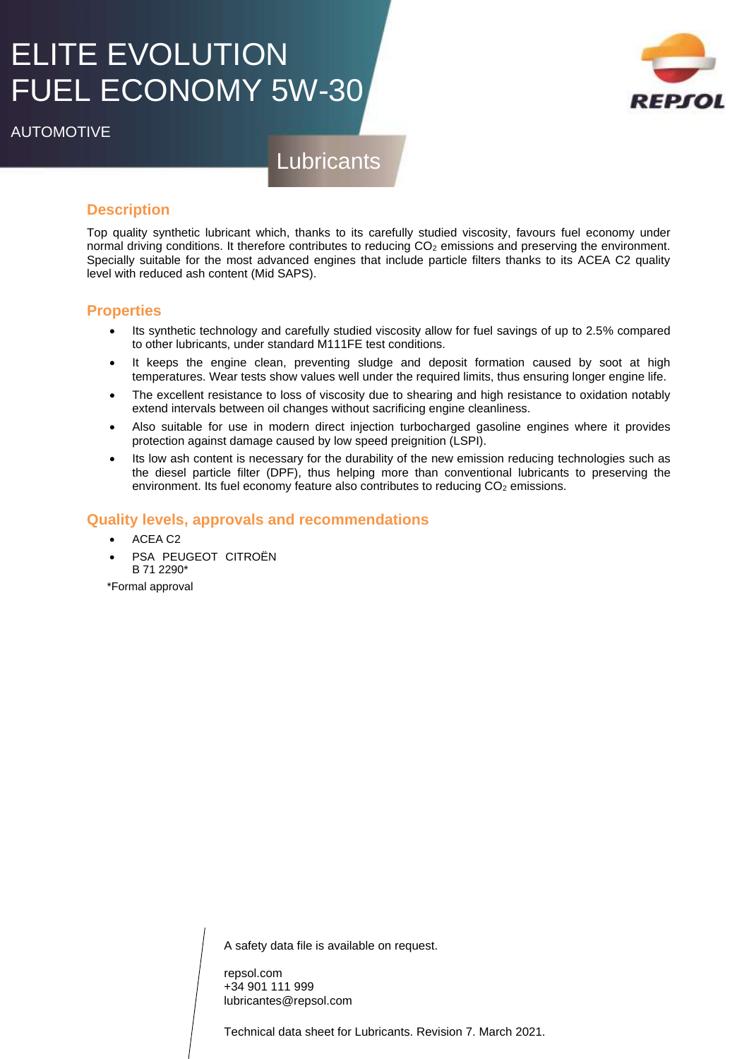# ELITE EVOLUTION FUEL ECONOMY 5W-30

AUTOMOTIVE

## **Lubricants**

### **Description**

Top quality synthetic lubricant which, thanks to its carefully studied viscosity, favours fuel economy under normal driving conditions. It therefore contributes to reducing CO<sub>2</sub> emissions and preserving the environment. Specially suitable for the most advanced engines that include particle filters thanks to its ACEA C2 quality level with reduced ash content (Mid SAPS).

#### **Properties**

- Its synthetic technology and carefully studied viscosity allow for fuel savings of up to 2.5% compared to other lubricants, under standard M111FE test conditions.
- It keeps the engine clean, preventing sludge and deposit formation caused by soot at high temperatures. Wear tests show values well under the required limits, thus ensuring longer engine life.
- The excellent resistance to loss of viscosity due to shearing and high resistance to oxidation notably extend intervals between oil changes without sacrificing engine cleanliness.
- Also suitable for use in modern direct injection turbocharged gasoline engines where it provides protection against damage caused by low speed preignition (LSPI).
- Its low ash content is necessary for the durability of the new emission reducing technologies such as the diesel particle filter (DPF), thus helping more than conventional lubricants to preserving the environment. Its fuel economy feature also contributes to reducing  $CO<sub>2</sub>$  emissions.

#### **Quality levels, approvals and recommendations**

- ACEA C2
- PSA PEUGEOT CITROËN B 71 2290\*

\*Formal approval

A safety data file is available on request.

repsol.com +34 901 111 999 lubricantes@repsol.com

Technical data sheet for Lubricants. Revision 7. March 2021.